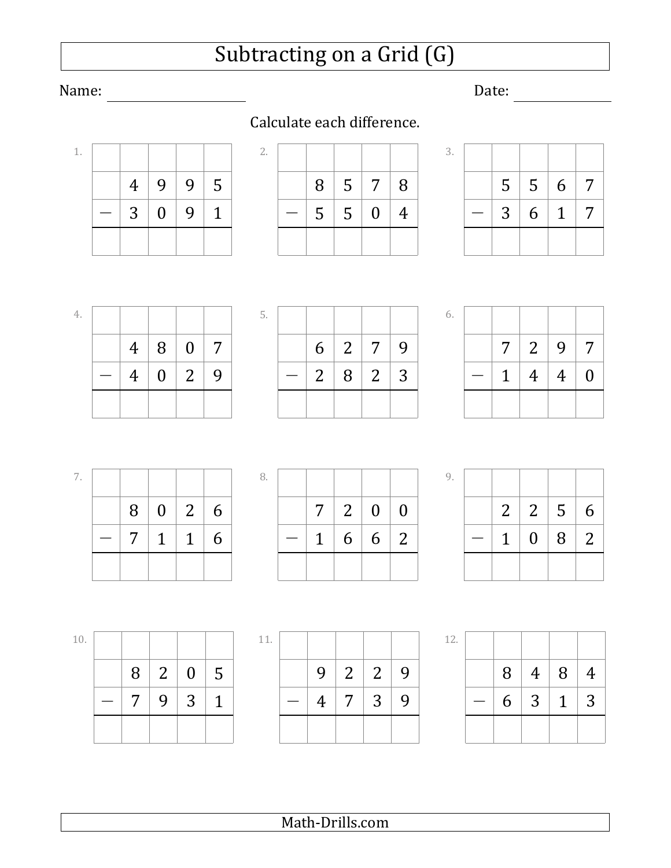## Subtracting on a Grid (G)

### Name: Date: <u>Date: Date: Date: Date: Date: Date: Date: Date: Date: Date: Date: Date: Date: Date: Date: Date: Date: Date: Date: Date: Date: Date: Date: Date: Date: Date: Date: Date: Date: Date: Date: Date: Date: Date: Date:</u>

1.

4.

|  | 4   9   9   5   |  |
|--|-----------------|--|
|  | $3   0   9   1$ |  |

| 8 | $5\overline{)}$ | $7\overline{ }$ | 8 |
|---|-----------------|-----------------|---|
| 5 | $\vert 5$       | $\overline{0}$  | 4 |
|   |                 |                 |   |

 $2 | 8 | 2 | 3$ 

*−*

5.

 $6 | 2 | 7 | 9$ 

| 3. |                |   |              |   |
|----|----------------|---|--------------|---|
|    | 5              | 5 | $6 \mid 7$   |   |
|    | 3 <sup>7</sup> | 6 | $\mathbf{1}$ | 7 |
|    |                |   |              |   |

6.

| 7 <sup>7</sup> | $\begin{array}{c c c c c} 2 & 9 & \end{array}$ | $7\overline{ }$  |
|----------------|------------------------------------------------|------------------|
| $\mathbf{1}$   | $\vert 4 \vert 4 \vert$                        | $\boldsymbol{0}$ |
|                |                                                |                  |

 $7 | 1 | 1 | 6$  $8$  0 2 6 *−* 7.

 $4 | 8 | 0 | 7$ 

*−* 4 0 2 9

| 8. |  |               |  |
|----|--|---------------|--|
|    |  | 7   2   0   0 |  |
|    |  | 1   6   6   2 |  |
|    |  |               |  |

|  | $2 \mid 2 \mid 5 \mid$ | 6 |
|--|------------------------|---|
|  | $1 \ 0 \ 8 \ 2$        |   |
|  |                        |   |

10.

 $7 \mid 9 \mid 3 \mid 1$  $8 | 2 | 0 | 5$ *−*

| 11. |   |   |                |   |
|-----|---|---|----------------|---|
|     | 9 | 2 | $\overline{2}$ | 9 |
|     | 4 | 7 | 3              | 9 |
|     |   |   |                |   |

| ×. | ۹ |  |
|----|---|--|
|    |   |  |

| i. |   |                 |              |                |
|----|---|-----------------|--------------|----------------|
|    | 8 | $\overline{4}$  | 8            | $\overline{4}$ |
|    | 6 | $\vert 3 \vert$ | $\mathbf{1}$ | 3              |
|    |   |                 |              |                |

### Calculate each difference.

9.